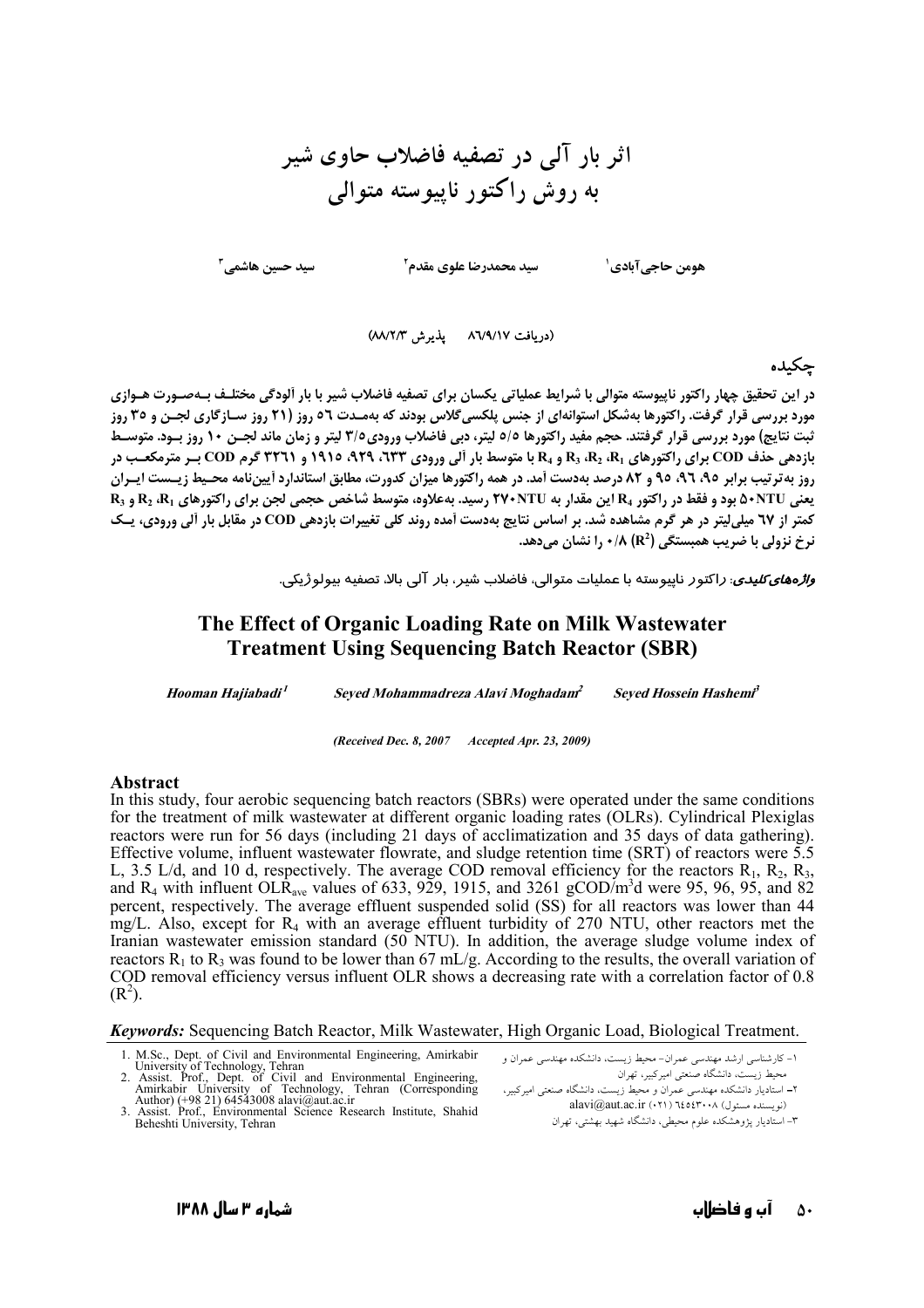# اثر بار آلى در تصفيه فاضلاب حاوى شير به روش راکتور ناپیوسته متوالی

هومن حاجي آبادي <sup>(</sup>

سید حسین هاشمے<sub>،</sub> ً

**سید محمدرضا علوی مقدم<sup>۲</sup>** 

(دریافت ۸٦/٩/١٧ يذيرش ٨٨/٢/٣)

چكىدە

در این تحقیق چهار راکتور ناپیوسته متوالی با شرایط عملیاتی یکسان برای تصفیه فاضلاب شیر با بار ألودگی مختلـف بـهصـورت هـوازی مورد بررسی قرار گرفت. راکتورها بهشکل استوانهای از جنس پلکسیگلاس بودند که بهمـدت ٥٦ روز (٢١ روز سـازگاری لجـن و ٣٥ روز ثبت نتايج) مورد بررسي قرار گرفتند. حجم مفيد راكتورها ٥/٥ ليتر، دبي فاضلاب ورودي٣/٥ ليتر و زمان ماند لجـن ١٠ روز بـود. متوسـط بازدهی حذف COD برای راکتورهای R3 ،R2 ،R1 و R4 با متوسط بار آلی ورودی ۹۲۳، ۹۲۹، ۱۹۱۵ و ۳۲٦۱ گرم COD بیر مترمکعب در روز به ترتیب برابر ۹۵، ۹۲، ۹۵ و ۸۲ درصد بهدست آمد. در همه راکتورها میزان کدورت، مطابق استاندارد اًییننامه محـیط زیـست ایـران R<sub>3</sub> 9 بود و فقط در راکتور R4 این مقدار به ٢٧٠NTU رسید. بهعلاوه، متوسط شاخص حجمی لجن برای راکتورهای R<sub>3</sub> و R<sub>3</sub> کمتر از ٦٧ میلی[یتر در هر گرم مشاهده شد. بر اساس نتایج بهدست آمده روند کلی تغییرات بازدهی COD در مقابل بار آلی ورودی، یـک نرخ نزولي با ضريب همبستگي (R $\lambda$  (R $\lambda$  ) ، نرخ نزولي با ضريب همبستگي

*واژههای کلیدی*: راکتور ناپیوسته با عملیات متوالی، فاضلاب شیر، بار آلی بالا، تصفیه بیولوژیکی.

## The Effect of Organic Loading Rate on Milk Wastewater **Treatment Using Sequencing Batch Reactor (SBR)**

Hooman Hajiabadi<sup>1</sup> Seyed Mohammadreza Alavi Moghadam<sup>2</sup> **Seved Hossein Hashemi<sup>3</sup>** 

(Received Dec. 8, 2007 Accepted Apr. 23, 2009)

#### **Abstract**

In this study, four aerobic sequencing batch reactors (SBRs) were operated under the same conditions for the treatment of milk wastewater at different organic loading rates (OLRs). Cylindrical Plexiglas reactors were run for 56 days (including 21 days of acclimatization and 35 days of data gathering). Effective volume, influent wastewater flowrate, and sludge retention time  $(SRT)$  of reactors were 5.5 L, 3.5 L/d, and 10 d, respectively. The average COD removal efficiency for the reactors  $R_1$ ,  $R_2$ ,  $R_3$ , and  $R_4$  with influent OLR<sub>ave</sub> values of 633, 929, 1915, and 3261 gCOD/m<sup>3</sup>d were 95, 96, 95, and 82 percent, respectively. The average effluent suspended solid (SS) for all reactors was lower than 44 mg/L. Also, except for R<sub>4</sub> with an average effluent turbidity of 270 NTU, other reactors met the Iranian wastewater emission standard (50 NTU). In addition, the average sludge volume index of reactors  $R_1$  to  $R_3$  was found to be lower than 67 mL/g. According to the results, the overall variation of COD removal efficiency versus influent OLR shows a decreasing rate with a correlation factor of 0.8  $(R<sup>2</sup>)$ .

#### **Keywords:** Sequencing Batch Reactor, Milk Wastewater, High Organic Load, Biological Treatment.

- 1. M.Sc., Dept. of Civil and Environmental Engineering, Amirkabir  $2.$
- M.Sec., Dept. of Civil and Environmental Engineering, Animkaon<br>
University of Technology, Tehran<br>
Assist. Prof., Dept. of Civil and Environmental Engineering,<br>
Assist. Prof., Dept. of Civil and Environmental Engineering,<br>
- Beheshti University, Tehran

١- كارشناسي ارشد مهندسي عمران- محيط زيست، دانشكده مهندسي عمران و ر<br>محیط زیست، دانشگاه صنعتی امیرکبیر، تهران - سمیت ریست، ساسده صنعتی امیردبیر، تهران<br>۲– استادیار دانشکده مهندسی عمران و محیط زیست، دانشگاه صنعتی امیرکبیر،

alavi@aut.ac.ir (٠٢١) ٦٤٥٤٣٠٠٨ (محمد) ۳– استادیار یژوهشکده علوم محیطی، دانشگاه شهید بهشتی، تهران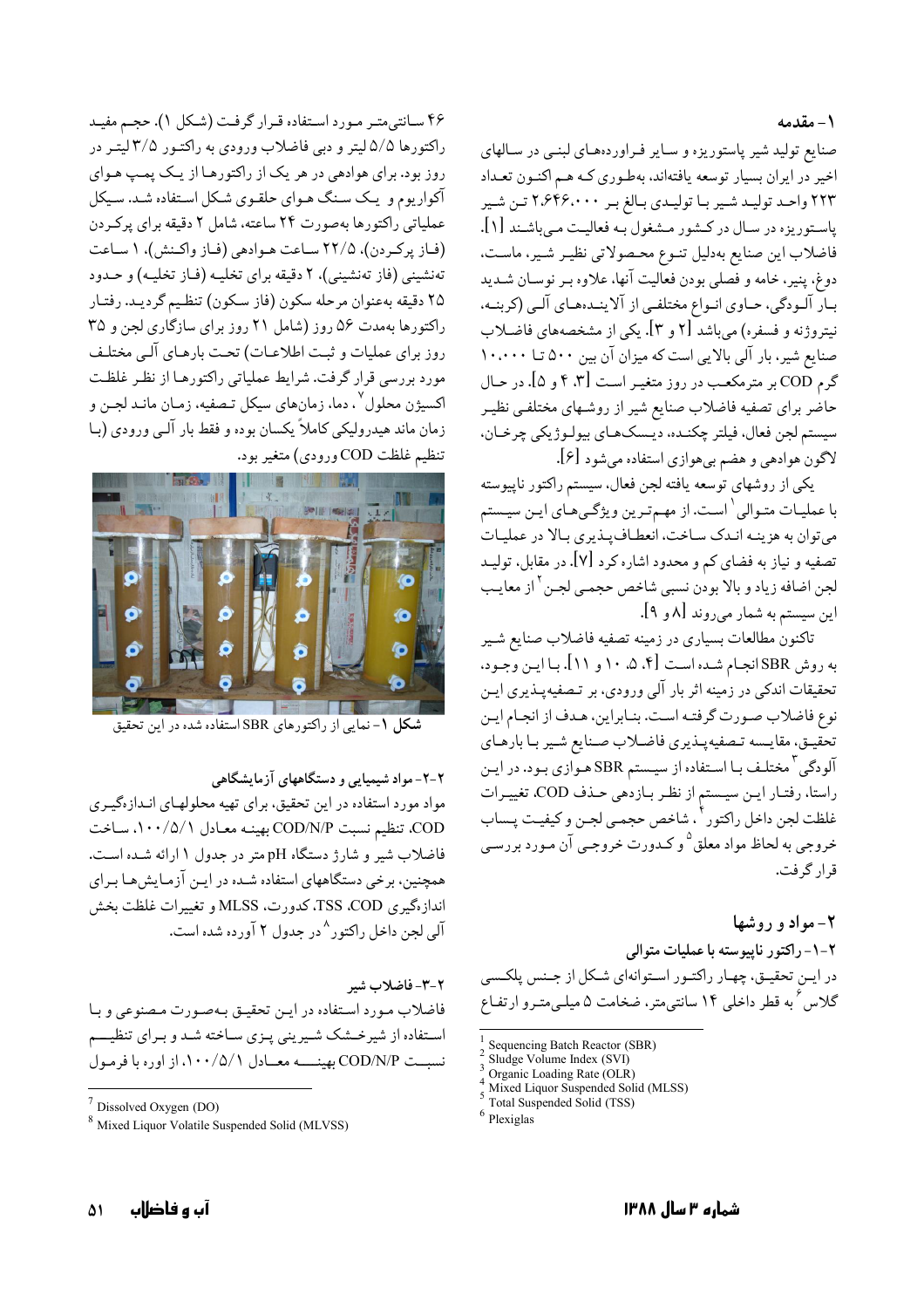۱- مقدمه

صنایع تولید شیر پاستوریزه و سایر فراوردههای لبنمی در سالهای اخیر در ایران بسیار توسعه یافتهاند، بهطوری کـه هـم اکنـون تعـداد ۲۲۳ واحـد توليـد شـير بـا توليـدي بـالغ بـر ۲،۶۴۶،۰۰۰ تـن شـير پاستوریزه در سـال در کـشور مـشغول به فعالیـت مـیباشـند [۱]. فاضلاب اين صنايع بهدليل تنـوع محـصولاتي نظيـر شـير. ماسـت. دوغ. ينير. خامه و فَصلي بودن فعاليت آنها. علاوه بـر نوسـان شــديد بـار آلـودگي، حـاوي انـواع مختلفـي از آلاينـدهـاي آلـي (كربنـه، نیتروژنه و فسفره) میباشد [۲ و ۳]. یکی از مشخصههای فاضلاب صنایع شیر، بار آلی بالایی است که میزان آن بین ۵۰۰ تا ۱۰،۰۰۰ گرم COD بر مترمکعب در روز متغیـر اسـت F .۳] و ۵]. در حـال حاضر برای تصفیه فاضلاب صنایع شیر از روشـهای مختلفـی نظیـر سيستم لجن فعال، فيلتر چكنىده، ديىسك هـاي بيولـوژيكي چرخـان، لاگون هوادهي و هضم بيهوازي استفاده ميشود [۶].

يكي از روشهاي توسعه يافته لجن فعال، سيستم راكتور ناييوسته با عملیـات متـوالي <sup>\</sup> اسـت. از مهـمتـرين ويژگـيمـاي ايـن سيـستم مي توان به هزينـه انـدک سـاخت، انعطـاف پــذيري بـالا در عمليـات تصفیه و نیاز به فضای کم و محدود اشاره کرد [۷]. در مقابل، تولیـد لجن اضافه زياد و بالا بودن نسبي شاخص حجمـي لجـن<sup>٢</sup> از معايـب این سیستم به شمار میروند [۸ و ۹].

تاکنون مطالعات بسیاری در زمینه تصفیه فاضلاب صنایع شـیر به روش SBR انجـام شـده اسـت [۴. ۵. ۱۰ و ۱۱]. بـا ايـن وجـود، تحقیقات اندکی در زمینه اثر بار آلی ورودی، بر تـصفیهپـذیری ایـن نوع فاضلاب صورت گرفته است. بنـابراين، هـدف از انجـام ايـن تحقيـق، مقايـسه تـصفيهپـذيري فاضـلاب صـنايع شـير بـا بارهـاي آلودگی <sup>۳</sup> مختلـف بـا اسـتفاده از سیـستم SBR هـوازی بـود. در ایـن راستا، رفتـار ايـن سيـستم از نظـر بـازدهي حـذف COD، تغييـرات غلظت لجن داخل راكتور أ ، شاخص حجمـي لجـن و كيفيـت پـساب خروجي به لحاظ مواد معلق<sup>0</sup>و كـدورت خروجـي آن مـورد بررسـي قرار گرفت.

۲- مواد و روشها ٢-١- راكتور ناييوسته با عمليات متوالى در ايـن تحقيـق، چهـار راكتـور اسـتوانهاي شـكل از جـنس پلكـسي گلاس ٌ به قطر داخلی ۱۴ سانتیمتر، ضخامت ۵ میلـیمتـرو ارتفـاع

Sequencing Batch Reactor (SBR)

Sludge Volume Index (SVI)

Mixed Liquor Suspended Solid (MLSS) Total Suspended Solid (TSS)

۴۶ سـانتي متـر مـورد اسـتفاده قـرار گرفـت (شـكل ۱). حجـم مفيـد راکتورها ۵/۵ لیتر و دبی فاضلاب ورودی به راکتـور ۳/۵ لیتـر در روز بود. براي هوادهي در هر يک از راکتورهـا از يـک پمـپ هـواي آکواریوم و یک سنگ هـوای حلقـوی شـکل اسـتفاده شـد. سـیکل عملیاتی راکتورها بهصورت ٢۴ ساعته، شامل ٢ دقیقه برای پرکردن (فياز يركردن)، ٢٢/٥ سياعت هيوادهي (فياز واكنش)، ١ سياعت تهنشینی (فاز تهنشینی)، ۲ دقیقه برای تخلیـه (فـاز تخلیـه) و حـدود ٢۵ دقيقه بهعنوان مرحله سكون (فاز سكون) تنظيم گرديـد. رفتـار راکتورها بهمدت ۵۶ روز (شامل ۲۱ روز برای سازگاری لجن و ۳۵ روز براي عمليات و ثبت اطلاعـات) تحـت بارهـاي آلـي مختلـف مورد بررسی قرار گرفت. شرایط عملیاتی راکتورهـا از نظـر غلظـت اکسیژن محلول <sup>۷</sup> . دما، زمانهای سیکل تـصفیه، زمـان مانـد لجـن و زمان ماند هیدرولیکی کاملاً یکسان بوده و فقط بار آلـی ورودی (بـا تنظيم غلظت COD ورودي) متغير بود.



شکل ۱- نمایی از راکتورهای SBR استفاده شده در این تحقیق

۲-۲- مواد شیمیایی و دستگاههای آزمایشگاهی

مواد مورد استفاده در این تحقیق، برای تهیه محلولهـای انـدازهگیـری ..<br>COD، تنظيم نسبت COD/N/P بهينـه معـادل ٠٠٠/٥/١٠، سـاخت فاضلاب شیر و شارژ دستگاه pH متر در جدول ۱ ارائه شـده است. همچنین، برخی دستگاههای استفاده شـده در ایـن آزمـایش هـا بـرای انداز.<br>انداز.گیری TSS ،COD،کدورت. MLSS و تغییرات غلظت بخش آلی لحن داخل راکتور ^در حدول ۲ آورده شده است.

2-3- فاضلاب شير فاضلاب مورد استفاده در اين تحقيق بهصورت مصنوعي وبا استفاده از شیرخشک شیرینی پـزی سـاخته شـد و بـرای تنظیـــم نسبت COD/N/P بهينــــه معــادل ١٠٠/٥/١، از اوره با فرمـول

Organic Loading Rate (OLR)

 $<sup>6</sup>$  Plexiglas</sup>

 $7$  Dissolved Oxygen (DO)

<sup>&</sup>lt;sup>8</sup> Mixed Liquor Volatile Suspended Solid (MLVSS)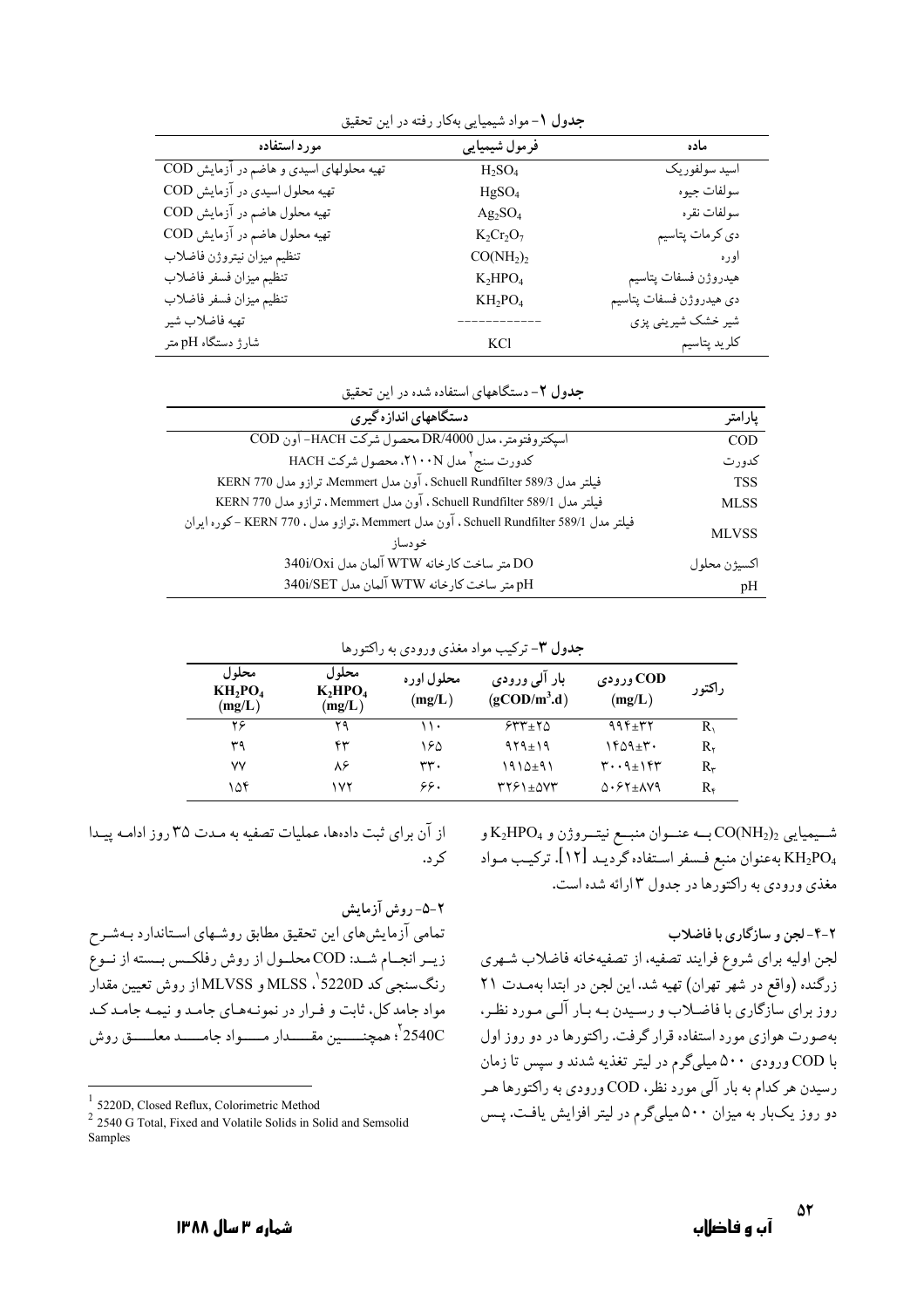| مورد استفاده                             | فرمول شيميايي                     | ماده                    |
|------------------------------------------|-----------------------------------|-------------------------|
| تهیه محلولهای اسیدی و هاضم در آزمایش COD | $H_2SO_4$                         | اسيد سولفوريك           |
| تهیه محلول اسیدی در آزمایش COD           | HgSO <sub>4</sub>                 | سولفات جيوه             |
| تهیه محلول هاضم در آزمایش COD            | $Ag_2SO_4$                        | سولفات نقره             |
| تهیه محلول هاضم در آزمایش COD            | $K_2Cr_2O_7$                      | دي كرمات پتاسيم         |
| تنظيم ميزان نيتروژن فاضلاب               | CO(NH <sub>2</sub> ) <sub>2</sub> | اوره                    |
| تنظيم ميزان فسفر فاضلاب                  | $K_2HPO_4$                        | هيدروژن فسفات پتاسيم    |
| تنظيم ميزان فسفر فاضلاب                  | $KH_2PO_4$                        | دي هيدروژن فسفات پتاسيم |
| تهيه فاضلاب شير                          |                                   | شیر خشک شیرینی پزی      |
| شارژ دستگاه pH متر                       | <b>KCl</b>                        | كلريد پتاسيم            |

جدول ١- مواد شيميايي بهكار رفته در اين تحقيق

جدول ٢- دستگاههای استفاده شده در این تحقیق

| دستگاههای اندازه گیری                                                                | يارامتر      |  |
|--------------------------------------------------------------------------------------|--------------|--|
| اسيكتروفتومتر، مدل DR/4000 محصول شركت HACH- آون COD                                  | <b>COD</b>   |  |
| كدورت سنج <sup>٢</sup> مدل ٢١٠٠N، محصول شركت HACH                                    | کدو, ت       |  |
| فيلتر مدل Schuell Rundfilter 589/3، آون مدل Memmert ترازو مدل KERN 770               | <b>TSS</b>   |  |
| فيلتر مدل Schuell Rundfilter 589/1 ، آون مدل Memmert . ترازو مدل KERN 770            | <b>MLSS</b>  |  |
| فيلتر مدل Schuell Rundfilter 589/1، آون مدل Memmert.ترازو مدل ، KERN 770 -كوره ايران | <b>MLVSS</b> |  |
| خو دساز                                                                              |              |  |
| 340i/Oxi متر ساخت كارخانه WTW آلمان مدل 340i/Oxi                                     | اكسىژن محلول |  |
| pH متر ساخت كارخانه WTW آلمان مدل 340i/SET                                           | pH           |  |

جدول ٣- ترکيب مواد مغذي ورودي به راکتورها

| محلول<br>$KH_2PO_4$<br>(mg/L) | محلو ل<br>$K_2HPO_4$<br>(mg/L) | محلول اوره<br>(mg/L) | بار الی ورودی<br>$(g\text{COD/m}^3\text{d})$ | COD ورودی<br>(mg/L)                    | راکتور        |
|-------------------------------|--------------------------------|----------------------|----------------------------------------------|----------------------------------------|---------------|
| ۲۶                            | ۲۹                             | ۱۱۰                  | $555 + 50$                                   | 994 $\pm$ 32                           | $R_{\lambda}$ |
| ۳۹                            | ۴۳                             | ۱۶۵                  | $919 \pm 19$                                 | ۱۴۵۹±۳۰                                | R۰            |
| ٧Y                            | ٨۶                             | ۳۳.                  | ۱۹۱۵±۹۱                                      | $\mathbf{r}\cdot\mathbf{q}+\mathbf{r}$ | $R_{\tau}$    |
| ۱۵۴                           | ۱۷۲                            | ۶۶.                  | $rr51\pm\Delta VT$                           | $\Delta$ . $54+ \Delta V$ 9            | R۴            |

شمیمیایی  $\rm CO(NH_2)_2$ به عنموان منبع نیتمروژن و  $\rm K_2HPO_4$ و به عنوان منبع فـسفر اسـتفاده گرديـد [١٢]. تركيـب مـواد KH2PO4 مغذی ورودی به راکتورها در جدول ۳ ارائه شده است.

۲-۴-لجن و سازگاری با فاضلاب

لجن اوليه براي شروع فرايند تصفيه، از تصفيهخانه فاضلاب شـهري زرگنده (واقع در شهر تهران) تهیه شد. این لجن در ابتدا بهمـدت ۲۱ روز برای سازگاری با فاضلاب و رسیدن بـه بـار آلـی مـورد نظـر، بهصورت هوازي مورد استفاده قرار گرفت. راكتورها در دو روز اول با COD ورودي ۵۰۰ ميليگرم در ليتر تغذيه شدند و سيس تا زمان رسیدن هر کدام به بار آلبی مورد نظر، COD ورودی به راکتورها هـر دو روز یکبار به میزان ۵۰۰ میلیگرم در لیتر افزایش یافت. پس

از آن برای ثبت دادها، عملیات تصفیه به مدت ٣٥ روز ادامه پیدا که د.

۲-۵- روش آزمایش تمامی آزمایشهای این تحقیق مطابق روشهای استاندارد بهشرح زيـر انجـام شـد: COD محلـول از روش رفلكـس بـسته از نـوع رنگسنجي کد MLSS ، S220D و MLVSS از روش تعيين مقدار مواد جامد کل، ثابت و فرار در نمونههای جامد و نیمه جامد کد .<br>2540C ' همچنــــين مقــــدار مــــواد جامــــد معلــــق روش

 $1$  5220D, Closed Reflux, Colorimetric Method

<sup>&</sup>lt;sup>2</sup> 2540 G Total, Fixed and Volatile Solids in Solid and Semsolid Samples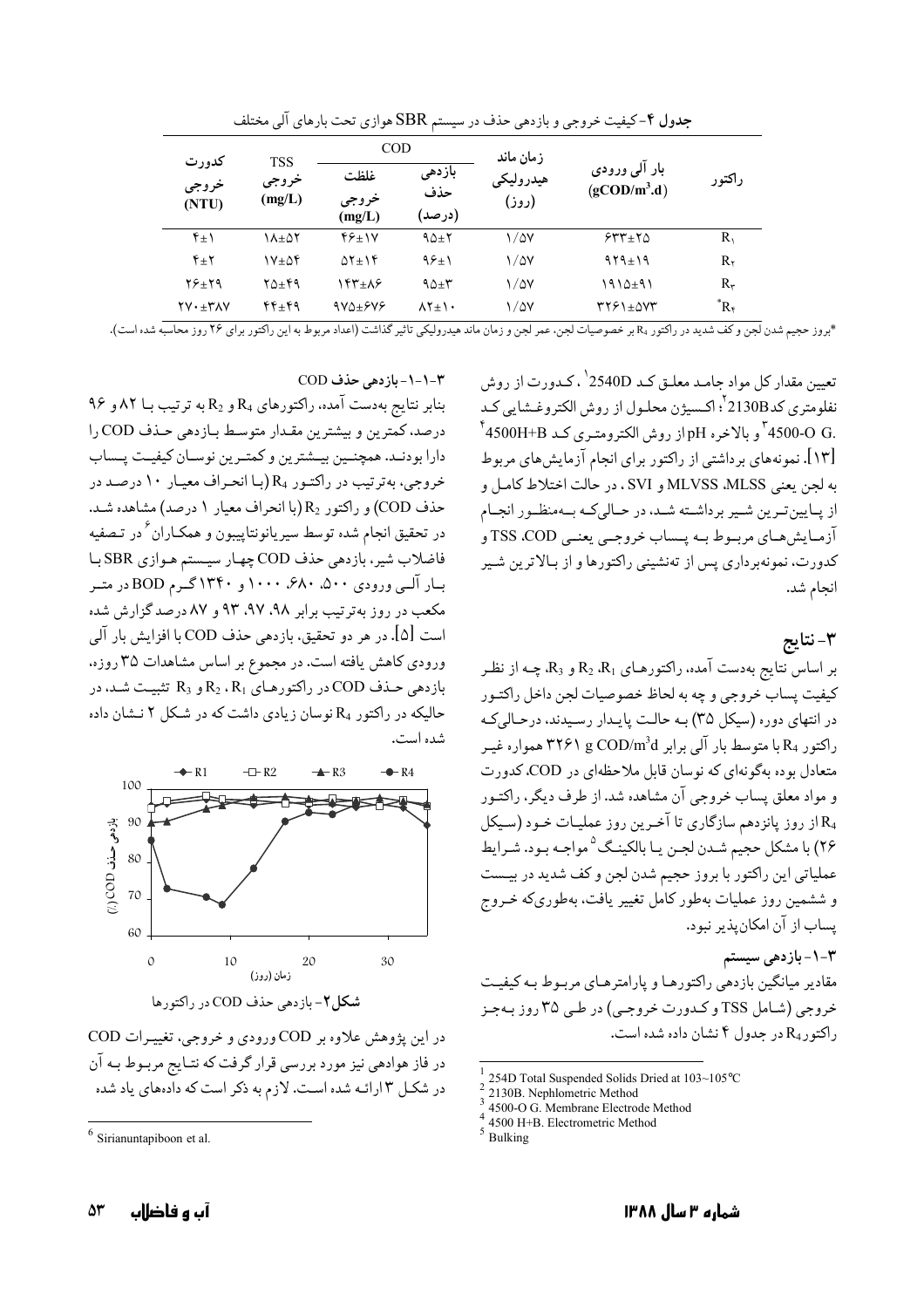|                                                                 |              | <b>COD</b>              |                         | زمان ماند          |                                               |             |
|-----------------------------------------------------------------|--------------|-------------------------|-------------------------|--------------------|-----------------------------------------------|-------------|
| كدورت<br><b>TSS</b><br>خروجي<br>(mg/L)<br>(NTU)                 | خروجى        | غلظت<br>خروجي<br>(mg/L) | بازدهى<br>حذف<br>(درصد) | هيدروليكي<br>(روز) | بار آلی ورودی<br>$(g\text{COD/m}^3 \text{d})$ | راكتور      |
| $f_{\pm}$                                                       | ۱۸±۵۲        | $89 + 10$               | $90+7$                  | 1/47               | $555 + 50$                                    | $R_1$       |
| $Y_{\pm}Y$                                                      | ۱۷±۵۴        | $\Delta Y \pm Y$        | $95+1$                  | $\frac{1}{2}$      | $919 \pm 19$                                  | $R_{\nu}$   |
| $Y$ $2 + Y$ 9                                                   | <b>۲۵±۴۹</b> | ۱۴۳±۸۶                  | $90+1$                  | $\frac{1}{2}$      | ۱۹۱۵±۹۱                                       | $R_{\tau}$  |
| $\mathsf{Y} \mathsf{V} \cdot \pm \mathsf{Y} \Lambda \mathsf{V}$ | 44+49        | $9V\Delta \pm 9V\%$     | $\lambda Y_{\pm}$       | 1/47               | $rr51\pm\Delta VT$                            | $R_{\rm f}$ |

جدول ۴-کیفیت خروجی و بازدهی حذف در سیستم SBR هوازی تحت بارهای آلی مختلف

\*بروز حجیم شدن لجن و کف شدید در راکتور R، بر خصوصیات لجن، عمر لجن و زمان ماند هیدرولیکی تاثیر گذاشت (اعداد مربوط به این راکتور برای ۲۶ روز محاسبه شده است).

تعیین مقدار کل مواد جامـد معلـق کـد 2540D <sup>٬</sup> ، کـدورت از روش نفلومتري كد2130B <sup>٢</sup>. اكـسيژن محلـول از روش الكتروغـشايي كـد  $^{\dagger}$ 4500-0  $^{\dagger}$ و بالاخره pH از روش الكترومتـري كـد 4500H+B  $^{\dagger}$ [۱۳]. نمونههای برداشتی از راکتور برای انجام آزمایش های مربوط يه لجن يعني MLVSS .MLSS و SVI ، در حالت اختلاط كاميل و از پبایین تیرین شیر برداشته شید، در حیالی که بیهمنظیور انجیام آزمیایش هیای مرسوط سه پیساب خروجیے، بعنبے، TSS ،COD و کدورت، نمونهبر داری پس از تهنشینی راکتورها و از بـالاترین شـیر انجام شد.

٣-نتايج

بر اساس نتایج بهدست آمده. راکتورهـای R2 ،R<sub>1</sub> و R<sub>3</sub>. چـه از نظـر كيفيت يساب خروجي و چه به لحاظ خصوصيات لجن داخل راكتـور در انتهای دوره (سیکل ۳۵) بـه حالـت پایـدار رسـیدند، درحـالیکـه راکتور R4 با متوسط بار آلي برابر ۳۲۶۱ g COD/m<sup>3</sup>d همواره غيـر متعادل بوده بهگونهای که نوسان قابل ملاحظهای در COD، کدورت و مواد معلق پساب خروجی آن مشاهده شد. از طرف دیگر، راکتـور و از روز پانزدهم سازگاری تا آخرین روز عملیـات خـود (سـيكل R4 ۲۶) با مشکل حجیم شـدن لجـن یـا بالکینـگ<sup>۵</sup> مواجـه بـود. شـرایط عملياتي اين راكتور با بروز حجيم شدن لجن و كف شديد در بيـست و ششمین روز عملیات بهطور کامل تغییر یافت، بهطوریکه خـروج يساب از آن امكان يذير نبود.

۳-۱-بازدهی سیستم مقادیر میانگین بازدهی راکتورهـا و پارامترهـای مربـوط بـه کیفیـت خروجي (شامل TSS و كـدورت خروجـي) در طـي ۳۵ روز بـهجـز د اکتور R<sub>4</sub> در حدول ۴ نشان داده شده است.

- 4500-O G. Membrane Electrode Method
- 4500 H+B. Electrometric Method

بنابر نتايج بهدست آمده، راكتورهاي R4 و R2 به ترتيب بـا ٨٢ و ٩۶ درصد، كمترين و بيشترين مقدار متوسط بازدهي حذف COD را دارا بودنـد. همچنــين بيــشترين و كمتـرين نوسـان كيفيـت يــساب

٣-١-١-مازدهي حذف COD

خروجي، بهترتيب در راكتـور R<sub>4</sub> (بـا انحـراف معيـار ١٠ درصـد در حذف COD) و راكتور R2 (با انحراف معيار ١ درصد) مشاهده شـد. در تحقیق انجام شده توسط سیریانونتاپیبون و همکـاران ٔ در تـصفیه فاضلاب شیر، بازدهی حذف COD چهار سیستم هـوازي SBR بـا بار آلمی ورودی ۵۰۰، ۶۸۰، ۱۰۰۰ و ۱۳۴۰گـرم BOD در متـر مکعب در روز بهترتیب برابر ۹۸، ۹۷، ۹۳ و ۸۷ درصد گزارش شده است [۵]. در هر دو تحقیق، بازدهی حذف COD با افزایش بار آلبی ورودي كاهش يافته است. در مجموع بر اساس مشاهدات ٣۵ روزه. بازدهی حـذف COD در راکتورهـای R2 ، R<sub>1</sub> و R3 تثبیـت شـد، در حالیکه در راکتور R<sub>4</sub> نوسان زیادی داشت که در شکل ۲ نـشان داده شده است.



در این یژوهش علاوه بر COD ورودی و خروجی، تغییرات COD در فاز هوادهی نیز مورد بررسی قرار گرفت که نتـایج مربـوط بـه آن در شکل ۳ ارائـه شده اسـت. لازم به ذکر است که دادههای یاد شده

<sup>254</sup>D Total Suspended Solids Dried at 103~105°C

<sup>2130</sup>B. Nephlometric Method

Bulking

 $6$  Sirianuntapiboon et al.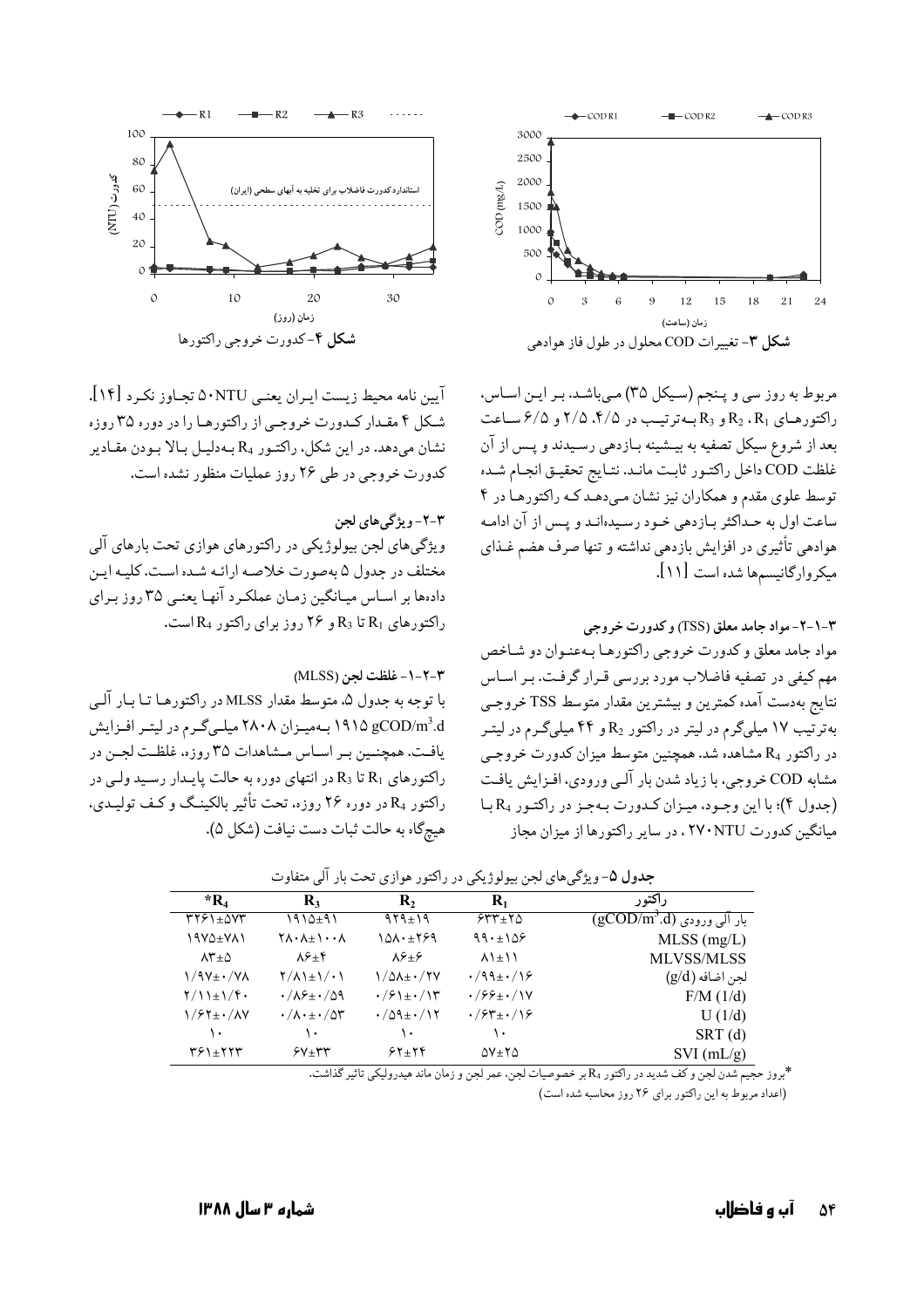

مربوط به روز سي و پـنجم (سـيكل ٣٥) مـيباشـد. بـر ايـن اسـاس، راکتورهای R2 ، R1 و R3 به ترتیب در ۲/۵،۴/۵ و ۶/۵ ساعت بعد از شروع سیکل تصفیه به بیـشینه بـازدهی رسـیدند و پـس از آن غلظت COD داخل راكتـور ثابت مانـد. نتـايج تحقيـق انجـام شـده توسط علوی مقدم و همکاران نیز نشان می دهد کـه راکتورهـا در ۴ ساعت اول به حـداکثر بـازدهى خـود رسـيدهانـد و يـس از آن ادامـه هوادهی تأثیری در افزایش بازدهی نداشته و تنها صرف هضم غـذای ميكروارگانيسمها شده است [١١].



آيين نامه محيط زيست ايـران يعنـي A•NTU تجـاوز نكـرد [۱۴]. شبکل ۴ مقیدار کیدورت خروجیے از راکتورهبا را در دورہ ۳۵ روزہ نشان می،دهد. در این شکل، راکتـور R<sub>4</sub> بـه دلیـل بـالا بـودن مقـادیر کدورت خروجی در طی ۲۶ روز عملیات منظور نشده است.

#### ۳-۲- ویژگی های لجن

ویژگیهای لجن بیولوژیکی در راکتورهای هوازی تحت بارهای آلی مختلف در حدول ۵ بهصورت خلاصه ارائیه شیده است. کلبه این دادهها بر اسـاس ميـانگين زمـان عملكـرد آنهـا يعنـي ٣۵ روز بـراي داکتورهای  $R_1$ تا  $R_3$ و ۲۶ روز برای راکتور  $R_4$ است.

#### ٣-٢-١- غلظت لجن (MLSS)

با توجه به جدول ۵، متوسط مقدار MLSS در راکتورهـا تـا بـا, آلــ 4.h ^ 4 (19 0 14 میلم در لیتیر افزایش) در است افزایش یافت. همچنین بر اساس مشاهدات ۳۵ روزه، غلظت لجـن در راکتورهای R1 تا R3 در انتهای دوره به حالت پایـدار رسـید ولـی در راکتور ،R در دوره ۲۶ روزه، تحت تأثیر بالکینـگ و کـف تولیـدی. هيچگاه به حالت ثبات دست نيافت (شكل ۵).

| $*_{\mathbf{R}_4}$                   | $\mathbf{R}_{3}$                                             | $\mathbf{R}_{2}$                               | $\mathbf{R}_1$                                | راکتور                                             |
|--------------------------------------|--------------------------------------------------------------|------------------------------------------------|-----------------------------------------------|----------------------------------------------------|
| 3761±07                              | ۱۹۱۵±۹۱                                                      | $914 \pm 19$                                   | $555 + 50$                                    | بار آل <sub>ی</sub> ورودی (gCOD/m <sup>3</sup> .d) |
| ۱۹۷۵±۷۸۱                             | $\uparrow \wedge \cdot \wedge \pm \wedge \cdot \cdot \wedge$ | $10\lambda \cdot \pm 199$                      | 99.109                                        | $MLSS$ (mg/L)                                      |
| $\lambda^* \pm \Delta$               | $\lambda \xi_{\pm} \xi$                                      | $\lambda \xi_{\pm} \xi$                        | $\lambda$ $\lambda$ $\pm$ $\lambda$ $\lambda$ | <b>MLVSS/MLSS</b>                                  |
| $1/9V_{\pm}$ $\cdot$ / $V_{\Lambda}$ | $\frac{1}{2}$                                                | 1/0A± · / 2Y                                   | $\cdot$ /99± $\cdot$ /16                      | لجن اضافه (g/d)                                    |
| $\frac{1}{2}$                        | $\cdot/\lambda f_{\pm} \cdot/\Delta f$                       | $\cdot$ / $\cdot$ / $\pm$ $\cdot$ / $\uparrow$ | $\cdot$ /99 $\pm$ $\cdot$ /1Y                 | $F/M$ (1/d)                                        |
| $1/57\pm$ $\cdot$ / $\Lambda$ Y      | $\cdot/\Lambda\cdot\pm\cdot/\Delta$ ۳                        | $\cdot$ /09± $\cdot$ /17                       | $\cdot$ / $54 + \cdot$ /1 $5$                 | U(1/d)                                             |
| ١.                                   | ١.                                                           | ١٠                                             | ١.                                            | $SRT$ (d)                                          |
| $491 \pm 177$                        | $5V \pm VV$                                                  | $55 + 55$                                      | $\Delta V \pm Y \Delta$                       | $SVI$ (mL/g)                                       |

حدول ۵- و پژگ,های لحن سولوژیکی در راکتور هوازی تحت بار آلی متفاوت

\*بروز حجیم شدن لجن و کف شدید در راکتور R4 بر خصوصیات لجن، عمر لجن و زمان ماند هیدرولیکی تاثیر گذاشت. (اعداد مربوط به این راکتور برای ٢۶ روز محاسبه شده است)

> آں و فاضلاں ۵۴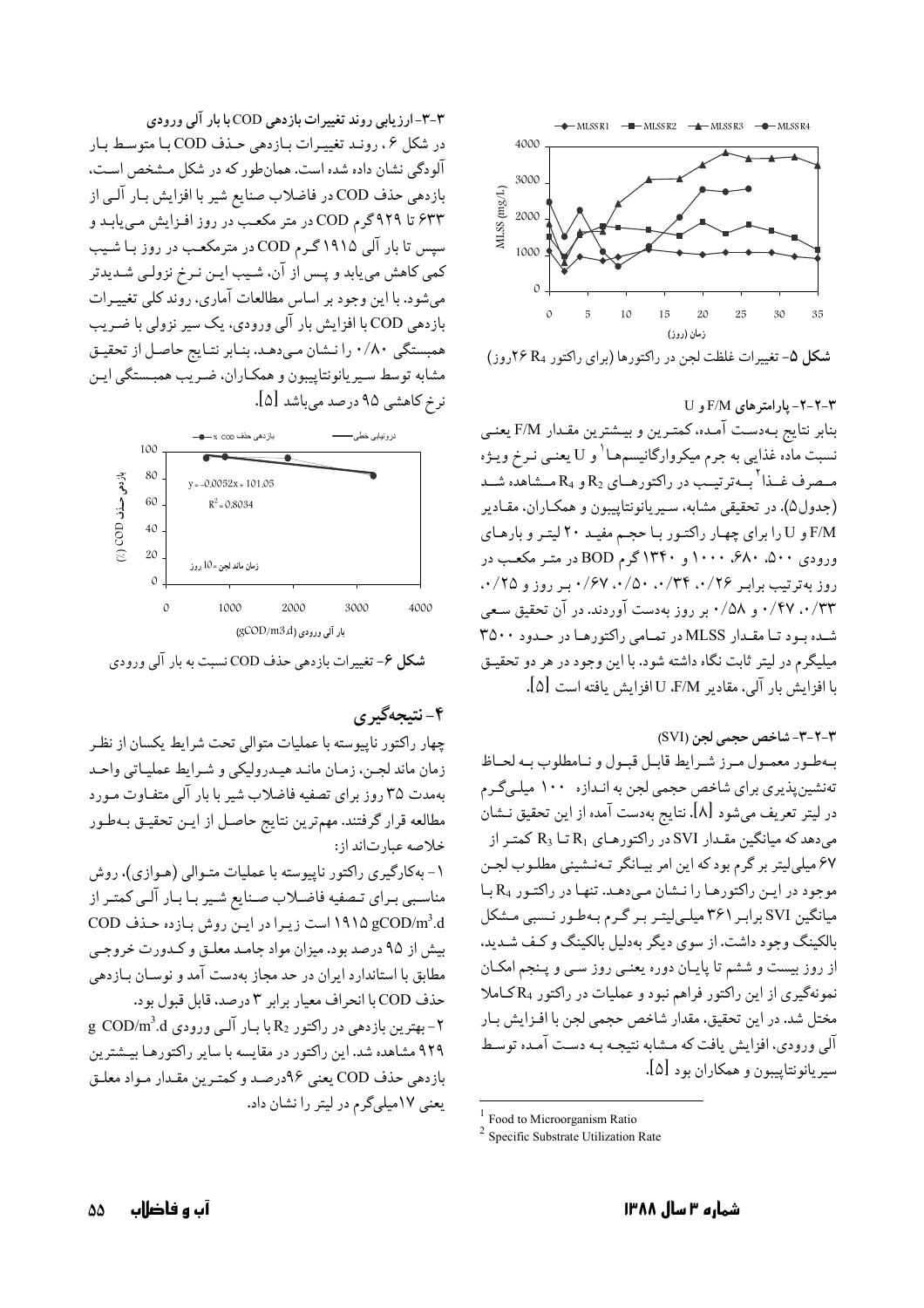

شكل ۵- تغييرات غلظت لجن در راكتورها (براي راكتور په٢۶ كاروز)

۲-۲-۲- یارامتر های F/M و U بنابر نتايج بـهدست آمـده، كمتـرين و بيـشترين مقـدار F/M يعنـي نسبت مادّه غذایبی به جرم میکروارگانیسمهـا<sup>\</sup> و U یعنــی نــرخ ویــژه مـصرف غــذا <sup>۲</sup>بــهترتيــب در راكتورهــاي R<sub>2</sub> و R<sub>4</sub> مــشاهده شــد (جدول۵). در تحقیقی مشابه، سـیریانونتاییبون و همکـاران، مقـادیر F/M و U را برای چهار راکتور با حجم مفید ۲۰ لیتر و بارهای ورودی ۵۰۰، ۶۸۰، ۱۰۰۰ و ۱۳۴۰ گرم BOD در متـر مکعـب در روز به ترتیب برابر ۰/۶۷،۰/۳۴،۰/۲۶، ۰/۶۷، بر روز و ۰/۲۵، ۰/۴۷ .۰/۳۳ و ۰/۵۸ بر روز بهدست آوردند. در آن تحقیق سعی شده بود تا مقدار MLSS در تمامي راكتورها در حدود ۳۵۰۰ میلیگرم در لیتر ثابت نگاه داشته شود. با این وجود در هر دو تحقیـق با افزايش بار آلي، مقادير E/M ، U افزايش يافته است [۵].

٣-٢-٣- شاخص حجمي لجن (SVI)

بهطور معمول ميرز شيرايط قابيل قبيول و نيامطلوب بيه لحياظ تەنشين يذيري براي شاخص حجمي لجن به انـدازه ١٠٠ ميلـيگـرم در ليتر تعريف ميشود [٨]. نتايج بهدست آمده از اين تحقيق نـشان میدهد که میانگین مقـدار SVI در راکتورهـای R1 تـا R3 کمتـر از ۶۷ میلی لیتر بر گرم بود که این امر بیـانگر تـهنـشینی مطلـوب لجـن موجود در اين راكتورها را نشان مى دهـد. تنهـا در راكتـور R4 بـا میانگین SVI برابر ۳۶۱ میلی لیتـر بـر گـرم بـهطـور نـسبی مـشکل بالکینگ وجود داشت. از سوی دیگر بهدلیل بالکینگ و کـف شـدید. از روز بیست و ششم تا پایـان دوره یعنــی روز ســی و پـنجم امکــان نمونهگیری از این راکتور فراهم نبود و عملیات در راکتور R4کاملا مختل شد. در این تحقیق، مقدار شاخص حجمی لجن با افـزایش بـار آلبي ورودي، افزايش يافت كه مــشابه نتيجــه بــه دســت آمــده توسـط سيريانونتاييبون و همكاران بود [۵].

۳-۳-ارزیابی روند تغییرات بازدهی COD با بار آلی ورودی در شكل ۶، رونـد تغييـرات بـازدهي حـذف COD بـا متوسـط بـار آلودگی نشان داده شده است. همانطور که در شکل مشخص است، بازدهي حذف COD در فاضلاب صنايع شير با افزايش بـار آلـي از ۶۳۳ تا ۹۲۹ گرم COD در متر مکعب در روز افزایش مییابد و سیس تا بار آلی ۱۹۱۵ گـرم COD در مترمکعب در روز بـا شـیب کمي کاهش مي يابد و پـس از آن، شـيب ايـن نـرخ نزولـي شـديدتر می شود. با این وجود بر اساس مطالعات آماری، روند کلبی تغییـرات بازدهی COD با افزایش بار آلبی ورودی، یک سیر نزولی با ضریب همبستگی ۰/۸۰ را نـشان مـىدهـد. بنـابر نتـايج حاصـل از تحقيـق مشابه توسط سيريانونتاييبون و همكـاران، ضـريب همبـستگي ايـن نر خ کاهشی ۹۵ درصد می باشد [۵].



**شکل ۶- تغیی**رات بازدهی حذف COD نسبت به بار آلمی ورودی

۴- نتىجەگىر ي

چهار راكتور ناييوسته با عمليات متوالي تحت شرايط يكسان از نظر زمان ماند لجـن، زمـان مانـد هيـدروليكي و شـرايط عمليـاتي واحـد بهمدت ٣۵ روز برای تصفیه فاضلاب شیر با بار آلی متفـاوت مـورد مطالعه قرار گرفتند. مهمترین نتایج حاصـل از ایـن تحقیـق بـهطـور خلاصه عبارتاند از:

۱- بهکارگیری راکتور ناپیوسته با عملیات متـوالی (هـوازی)، روش مناسبی برای تصفیه فاضلاب صنایع شیر با بار آلبی کمتر از OD/m3.d است زيرا در اين روش بازده حذف COD بیش از ۹۵ درصد بود. میزان مواد جامد معلـق و كـدورت خروجـي مطابق با استاندارد ایران در حد مجاز بهدست آمد و نوسـان بـازدهی حذف COD با انحراف معيار برابر ٣ درصد، قابل قبول بود. g COD/m3.d بهترين بازدهي در راكتور  $R_2$ با بار آلبي ورودي  $-7$ ۹۲۹ مشاهده شد. این راکتور در مقایسه با سایر راکتورهـا بیـشترین بازدهي حذف COD يعني ٩۶درصد و كمتـرين مقـدار مـواد معلـق یعنی ۱۷میلی گرم در لیتر را نشان داد.

<sup>&</sup>lt;sup>1</sup> Food to Microorganism Ratio

 $2$  Specific Substrate Utilization Rate